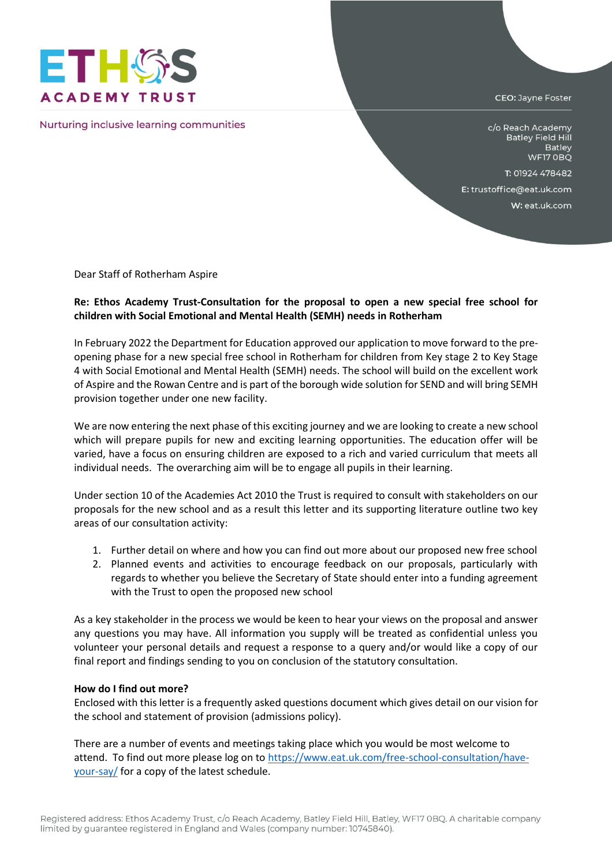

Nurturing inclusive learning communities

CEO: Jayne Foster

c/o Reach Academy **Batley Field Hill** Batley WF17 OBQ

T: 01924 478482

E: trustoffice@eat.uk.com

W: eat.uk.com

Dear Staff of Rotherham Aspire

## **Re: Ethos Academy Trust-Consultation for the proposal to open a new special free school for children with Social Emotional and Mental Health (SEMH) needs in Rotherham**

In February 2022 the Department for Education approved our application to move forward to the preopening phase for a new special free school in Rotherham for children from Key stage 2 to Key Stage 4 with Social Emotional and Mental Health (SEMH) needs. The school will build on the excellent work of Aspire and the Rowan Centre and is part of the borough wide solution for SEND and will bring SEMH provision together under one new facility.

We are now entering the next phase of this exciting journey and we are looking to create a new school which will prepare pupils for new and exciting learning opportunities. The education offer will be varied, have a focus on ensuring children are exposed to a rich and varied curriculum that meets all individual needs. The overarching aim will be to engage all pupils in their learning.

Under section 10 of the Academies Act 2010 the Trust is required to consult with stakeholders on our proposals for the new school and as a result this letter and its supporting literature outline two key areas of our consultation activity:

- 1. Further detail on where and how you can find out more about our proposed new free school
- 2. Planned events and activities to encourage feedback on our proposals, particularly with regards to whether you believe the Secretary of State should enter into a funding agreement with the Trust to open the proposed new school

As a key stakeholder in the process we would be keen to hear your views on the proposal and answer any questions you may have. All information you supply will be treated as confidential unless you volunteer your personal details and request a response to a query and/or would like a copy of our final report and findings sending to you on conclusion of the statutory consultation.

## **How do I find out more?**

Enclosed with this letter is a frequently asked questions document which gives detail on our vision for the school and statement of provision (admissions policy).

There are a number of events and meetings taking place which you would be most welcome to attend. To find out more please log on t[o https://www.eat.uk.com/free-school-consultation/have](https://www.eat.uk.com/free-school-consultation/have-your-say/)[your-say/](https://www.eat.uk.com/free-school-consultation/have-your-say/) for a copy of the latest schedule.